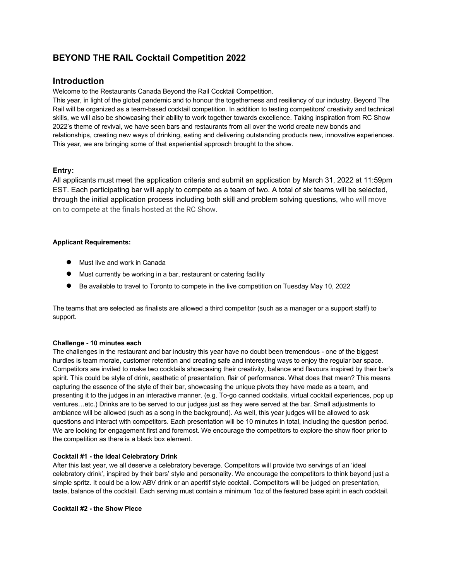# **BEYOND THE RAIL Cocktail Competition 2022**

# **Introduction**

Welcome to the Restaurants Canada Beyond the Rail Cocktail Competition.

This year, in light of the global pandemic and to honour the togetherness and resiliency of our industry, Beyond The Rail will be organized as a team-based cocktail competition. In addition to testing competitors' creativity and technical skills, we will also be showcasing their ability to work together towards excellence. Taking inspiration from RC Show 2022's theme of revival, we have seen bars and restaurants from all over the world create new bonds and relationships, creating new ways of drinking, eating and delivering outstanding products new, innovative experiences. This year, we are bringing some of that experiential approach brought to the show.

## **Entry:**

All applicants must meet the application criteria and submit an application by March 31, 2022 at 11:59pm EST. Each participating bar will apply to compete as a team of two. A total of six teams will be selected, through the initial application process including both skill and problem solving questions, who will move on to compete at the finals hosted at the RC Show.

## **Applicant Requirements:**

- Must live and work in Canada
- Must currently be working in a bar, restaurant or catering facility
- Be available to travel to Toronto to compete in the live competition on Tuesday May 10, 2022

The teams that are selected as finalists are allowed a third competitor (such as a manager or a support staff) to support.

## **Challenge - 10 minutes each**

The challenges in the restaurant and bar industry this year have no doubt been tremendous - one of the biggest hurdles is team morale, customer retention and creating safe and interesting ways to enjoy the regular bar space. Competitors are invited to make two cocktails showcasing their creativity, balance and flavours inspired by their bar's spirit. This could be style of drink, aesthetic of presentation, flair of performance. What does that mean? This means capturing the essence of the style of their bar, showcasing the unique pivots they have made as a team, and presenting it to the judges in an interactive manner. (e.g. To-go canned cocktails, virtual cocktail experiences, pop up ventures…etc.) Drinks are to be served to our judges just as they were served at the bar. Small adjustments to ambiance will be allowed (such as a song in the background). As well, this year judges will be allowed to ask questions and interact with competitors. Each presentation will be 10 minutes in total, including the question period. We are looking for engagement first and foremost. We encourage the competitors to explore the show floor prior to the competition as there is a black box element.

## **Cocktail #1 - the Ideal Celebratory Drink**

After this last year, we all deserve a celebratory beverage. Competitors will provide two servings of an 'ideal celebratory drink', inspired by their bars' style and personality. We encourage the competitors to think beyond just a simple spritz. It could be a low ABV drink or an aperitif style cocktail. Competitors will be judged on presentation, taste, balance of the cocktail. Each serving must contain a minimum 1oz of the featured base spirit in each cocktail.

**Cocktail #2 - the Show Piece**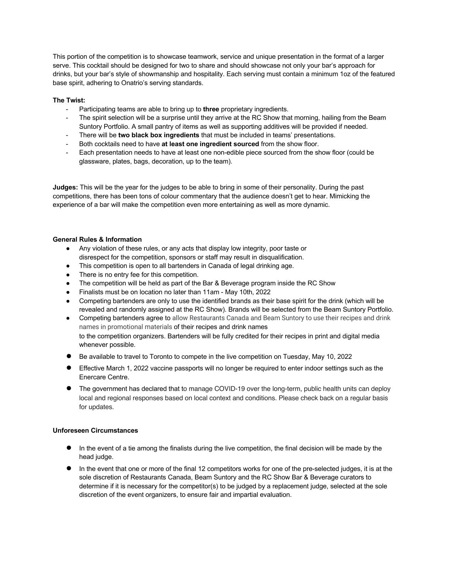This portion of the competition is to showcase teamwork, service and unique presentation in the format of a larger serve. This cocktail should be designed for two to share and should showcase not only your bar's approach for drinks, but your bar's style of showmanship and hospitality. Each serving must contain a minimum 1oz of the featured base spirit, adhering to Onatrio's serving standards.

### **The Twist:**

- Participating teams are able to bring up to **three** proprietary ingredients.
- The spirit selection will be a surprise until they arrive at the RC Show that morning, hailing from the Beam Suntory Portfolio. A small pantry of items as well as supporting additives will be provided if needed.
- There will be **two black box ingredients** that must be included in teams' presentations.
- Both cocktails need to have **at least one ingredient sourced** from the show floor.
- Each presentation needs to have at least one non-edible piece sourced from the show floor (could be glassware, plates, bags, decoration, up to the team).

**Judges:** This will be the year for the judges to be able to bring in some of their personality. During the past competitions, there has been tons of colour commentary that the audience doesn't get to hear. Mimicking the experience of a bar will make the competition even more entertaining as well as more dynamic.

### **General Rules & Information**

- Any violation of these rules, or any acts that display low integrity, poor taste or disrespect for the competition, sponsors or staff may result in disqualification.
- This competition is open to all bartenders in Canada of legal drinking age.
- There is no entry fee for this competition.
- The competition will be held as part of the Bar & Beverage program inside the RC Show
- Finalists must be on location no later than 11am May 10th, 2022
- Competing bartenders are only to use the identified brands as their base spirit for the drink (which will be revealed and randomly assigned at the RC Show). Brands will be selected from the Beam Suntory Portfolio.
- Competing bartenders agree to allow Restaurants Canada and Beam Suntory to use their recipes and drink names in promotional materials of their recipes and drink names to the competition organizers. Bartenders will be fully credited for their recipes in print and digital media whenever possible.
- Be available to travel to Toronto to compete in the live competition on Tuesday, May 10, 2022
- Effective March 1, 2022 vaccine passports will no longer be required to enter indoor settings such as the Enercare Centre.
- The government has declared that to manage COVID-19 over the long-term, public health units can deploy local and regional responses based on local context and conditions. Please check back on a regular basis for updates.

#### **Unforeseen Circumstances**

- In the event of a tie among the finalists during the live competition, the final decision will be made by the head judge.
- In the event that one or more of the final 12 competitors works for one of the pre-selected judges, it is at the sole discretion of Restaurants Canada, Beam Suntory and the RC Show Bar & Beverage curators to determine if it is necessary for the competitor(s) to be judged by a replacement judge, selected at the sole discretion of the event organizers, to ensure fair and impartial evaluation.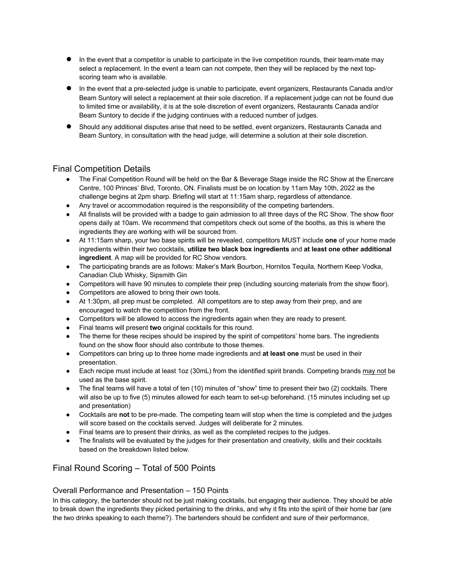- In the event that a competitor is unable to participate in the live competition rounds, their team-mate may select a replacement. In the event a team can not compete, then they will be replaced by the next topscoring team who is available.
- In the event that a pre-selected judge is unable to participate, event organizers, Restaurants Canada and/or Beam Suntory will select a replacement at their sole discretion. If a replacement judge can not be found due to limited time or availability, it is at the sole discretion of event organizers, Restaurants Canada and/or Beam Suntory to decide if the judging continues with a reduced number of judges.
- Should any additional disputes arise that need to be settled, event organizers, Restaurants Canada and Beam Suntory, in consultation with the head judge, will determine a solution at their sole discretion.

# Final Competition Details

- The Final Competition Round will be held on the Bar & Beverage Stage inside the RC Show at the Enercare Centre, 100 Princes' Blvd, Toronto, ON. Finalists must be on location by 11am May 10th, 2022 as the challenge begins at 2pm sharp. Briefing will start at 11:15am sharp, regardless of attendance.
- Any travel or accommodation required is the responsibility of the competing bartenders.
- All finalists will be provided with a badge to gain admission to all three days of the RC Show. The show floor opens daily at 10am. We recommend that competitors check out some of the booths, as this is where the ingredients they are working with will be sourced from.
- At 11:15am sharp, your two base spirits will be revealed, competitors MUST include **one** of your home made ingredients within their two cocktails, **utilize two black box ingredients** and **at least one other additional ingredient**. A map will be provided for RC Show vendors.
- The participating brands are as follows: Maker's Mark Bourbon, Hornitos Tequila, Northern Keep Vodka, Canadian Club Whisky, Sipsmith Gin
- Competitors will have 90 minutes to complete their prep (including sourcing materials from the show floor).
- Competitors are allowed to bring their own tools.
- At 1:30pm, all prep must be completed. All competitors are to step away from their prep, and are encouraged to watch the competition from the front.
- Competitors will be allowed to access the ingredients again when they are ready to present.
- Final teams will present **two** original cocktails for this round.
- The theme for these recipes should be inspired by the spirit of competitors' home bars. The ingredients found on the show floor should also contribute to those themes.
- Competitors can bring up to three home made ingredients and **at least one** must be used in their presentation.
- Each recipe must include at least 1oz (30mL) from the identified spirit brands. Competing brands may not be used as the base spirit.
- The final teams will have a total of ten (10) minutes of "show" time to present their two (2) cocktails. There will also be up to five (5) minutes allowed for each team to set-up beforehand. (15 minutes including set up and presentation)
- Cocktails are **not** to be pre-made. The competing team will stop when the time is completed and the judges will score based on the cocktails served. Judges will deliberate for 2 minutes.
- Final teams are to present their drinks, as well as the completed recipes to the judges.
- The finalists will be evaluated by the judges for their presentation and creativity, skills and their cocktails based on the breakdown listed below.

# Final Round Scoring – Total of 500 Points

## Overall Performance and Presentation – 150 Points

In this category, the bartender should not be just making cocktails, but engaging their audience. They should be able to break down the ingredients they picked pertaining to the drinks, and why it fits into the spirit of their home bar (are the two drinks speaking to each theme?). The bartenders should be confident and sure of their performance,